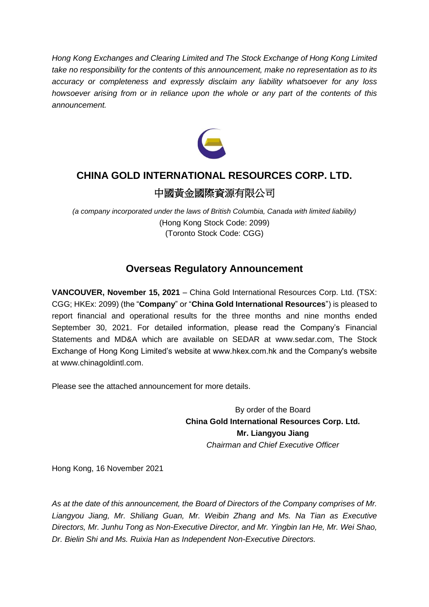*Hong Kong Exchanges and Clearing Limited and The Stock Exchange of Hong Kong Limited take no responsibility for the contents of this announcement, make no representation as to its accuracy or completeness and expressly disclaim any liability whatsoever for any loss howsoever arising from or in reliance upon the whole or any part of the contents of this announcement.*



# **CHINA GOLD INTERNATIONAL RESOURCES CORP. LTD.**

## 中國黃金國際資源有限公司

*(a company incorporated under the laws of British Columbia, Canada with limited liability)* (Hong Kong Stock Code: 2099) (Toronto Stock Code: CGG)

## **Overseas Regulatory Announcement**

**VANCOUVER, November 15, 2021** – China Gold International Resources Corp. Ltd. (TSX: CGG; HKEx: 2099) (the "**Company**" or "**China Gold International Resources**") is pleased to report financial and operational results for the three months and nine months ended September 30, 2021. For detailed information, please read the Company's Financial Statements and MD&A which are available on SEDAR at www.sedar.com, The Stock Exchange of Hong Kong Limited's website at www.hkex.com.hk and the Company's website at www.chinagoldintl.com.

Please see the attached announcement for more details.

By order of the Board **China Gold International Resources Corp. Ltd. Mr. Liangyou Jiang** *Chairman and Chief Executive Officer*

Hong Kong, 16 November 2021

*As at the date of this announcement, the Board of Directors of the Company comprises of Mr. Liangyou Jiang, Mr. Shiliang Guan, Mr. Weibin Zhang and Ms. Na Tian as Executive Directors, Mr. Junhu Tong as Non-Executive Director, and Mr. Yingbin Ian He, Mr. Wei Shao, Dr. Bielin Shi and Ms. Ruixia Han as Independent Non-Executive Directors.*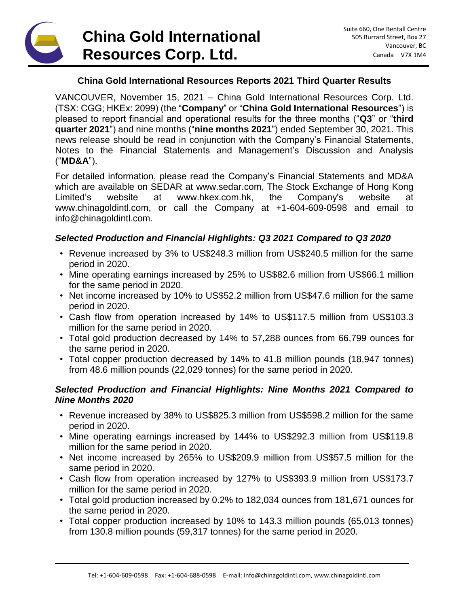# **China Gold International Resources Corp. Ltd.**

### **China Gold International Resources Reports 2021 Third Quarter Results**

VANCOUVER, November 15, 2021 – China Gold International Resources Corp. Ltd. (TSX: CGG; HKEx: 2099) (the "**Company**" or "**China Gold International Resources**") is pleased to report financial and operational results for the three months ("**Q3**" or "**third quarter 2021**") and nine months ("**nine months 2021**") ended September 30, 2021. This news release should be read in conjunction with the Company's Financial Statements, Notes to the Financial Statements and Management's Discussion and Analysis ("**MD&A**").

For detailed information, please read the Company's Financial Statements and MD&A which are available on SEDAR at www.sedar.com, The Stock Exchange of Hong Kong Limited's website at www.hkex.com.hk, the Company's website at www.chinagoldintl.com, or call the Company at +1-604-609-0598 and email to info@chinagoldintl.com.

### *Selected Production and Financial Highlights: Q3 2021 Compared to Q3 2020*

- Revenue increased by 3% to US\$248.3 million from US\$240.5 million for the same period in 2020.
- Mine operating earnings increased by 25% to US\$82.6 million from US\$66.1 million for the same period in 2020.
- Net income increased by 10% to US\$52.2 million from US\$47.6 million for the same period in 2020.
- Cash flow from operation increased by 14% to US\$117.5 million from US\$103.3 million for the same period in 2020.
- Total gold production decreased by 14% to 57,288 ounces from 66,799 ounces for the same period in 2020.
- Total copper production decreased by 14% to 41.8 million pounds (18,947 tonnes) from 48.6 million pounds (22,029 tonnes) for the same period in 2020.

#### *Selected Production and Financial Highlights: Nine Months 2021 Compared to Nine Months 2020*

- Revenue increased by 38% to US\$825.3 million from US\$598.2 million for the same period in 2020.
- Mine operating earnings increased by 144% to US\$292.3 million from US\$119.8 million for the same period in 2020.
- Net income increased by 265% to US\$209.9 million from US\$57.5 million for the same period in 2020.
- Cash flow from operation increased by 127% to US\$393.9 million from US\$173.7 million for the same period in 2020.
- Total gold production increased by 0.2% to 182,034 ounces from 181,671 ounces for the same period in 2020.
- Total copper production increased by 10% to 143.3 million pounds (65,013 tonnes) from 130.8 million pounds (59,317 tonnes) for the same period in 2020.

 $\overline{\phantom{a}}$  , and the contribution of the contribution of the contribution of the contribution of the contribution of the contribution of the contribution of the contribution of the contribution of the contribution of the